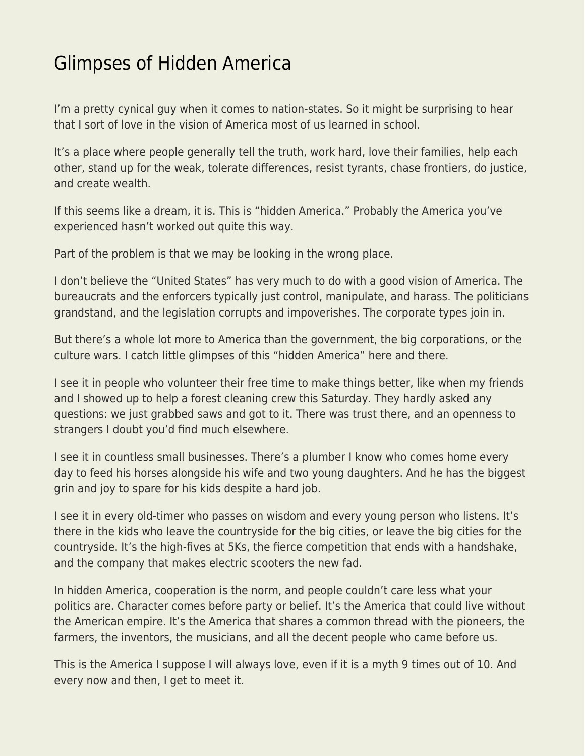## [Glimpses of Hidden America](https://everything-voluntary.com/glimpses-of-hidden-america)

I'm a pretty cynical guy when it comes to nation-states. So it might be surprising to hear that I sort of love in the vision of America most of us learned in school.

It's a place where people generally tell the truth, work hard, love their families, help each other, stand up for the weak, tolerate differences, resist tyrants, chase frontiers, do justice, and create wealth.

If this seems like a dream, it is. This is "hidden America." Probably the America you've experienced hasn't worked out quite this way.

Part of the problem is that we may be looking in the wrong place.

I don't believe the "United States" has very much to do with a good vision of America. The bureaucrats and the enforcers typically just control, manipulate, and harass. The politicians grandstand, and the legislation corrupts and impoverishes. The corporate types join in.

But there's a whole lot more to America than the government, the big corporations, or the culture wars. I catch little glimpses of this "hidden America" here and there.

I see it in people who volunteer their free time to make things better, like when my friends and I showed up to help a forest cleaning crew this Saturday. They hardly asked any questions: we just grabbed saws and got to it. There was trust there, and an openness to strangers I doubt you'd find much elsewhere.

I see it in countless small businesses. There's a plumber I know who comes home every day to feed his horses alongside his wife and two young daughters. And he has the biggest grin and joy to spare for his kids despite a hard job.

I see it in every old-timer who passes on wisdom and every young person who listens. It's there in the kids who leave the countryside for the big cities, or leave the big cities for the countryside. It's the high-fives at 5Ks, the fierce competition that ends with a handshake, and the company that makes electric scooters the new fad.

In hidden America, cooperation is the norm, and people couldn't care less what your politics are. Character comes before party or belief. It's the America that could live without the American empire. It's the America that shares a common thread with the pioneers, the farmers, the inventors, the musicians, and all the decent people who came before us.

This is the America I suppose I will always love, even if it is a myth 9 times out of 10. And every now and then, I get to meet it.